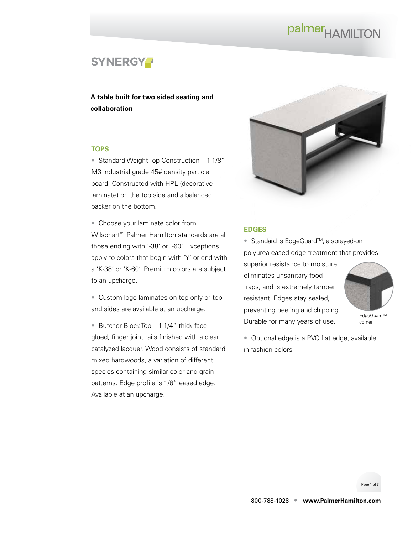# palmer<sub>HAMILTON</sub>



**A table built for two sided seating and collaboration**

#### **TOPS**

• Standard Weight Top Construction – 1-1/8" M3 industrial grade 45# density particle board. Constructed with HPL (decorative laminate) on the top side and a balanced backer on the bottom.

• Choose your laminate color from Wilsonart™. Palmer Hamilton standards are all those ending with '-38' or '-60'. Exceptions apply to colors that begin with 'Y' or end with a 'K-38' or 'K-60'. Premium colors are subject to an upcharge.

• Custom logo laminates on top only or top and sides are available at an upcharge.

• Butcher Block Top – 1-1/4" thick faceglued, finger joint rails finished with a clear catalyzed lacquer. Wood consists of standard mixed hardwoods, a variation of different species containing similar color and grain patterns. Edge profile is 1/8" eased edge. Available at an upcharge.



#### **EDGES**

polyurea eased edge treatment that provides superior resistance to moisture, eliminates unsanitary food traps, and is extremely tamper resistant. Edges stay sealed, preventing peeling and chipping.

EdgeGuard™ corner

• Optional edge is a PVC flat edge, available in fashion colors

Durable for many years of use.

● Standard is EdgeGuard<sup>™</sup>, a sprayed-on

Page 1 of 3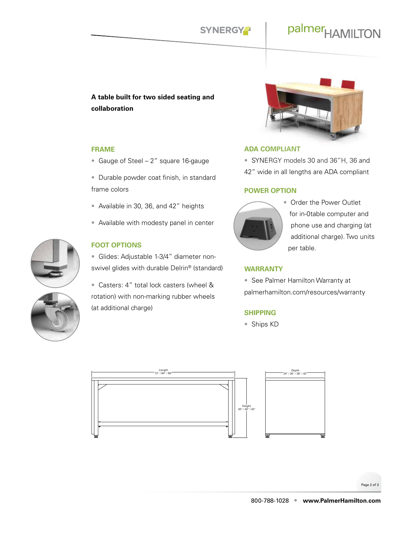## palmer<sub>HAMILTON</sub>

### **A table built for two sided seating and collaboration**

#### **FRAME**

- Gauge of Steel 2" square 16-gauge
- Durable powder coat finish, in standard frame colors
- Available in 30, 36, and 42" heights
- Available with modesty panel in center



### **FOOT OPTIONS**

- Glides: Adjustable 1-3/4" diameter nonswivel glides with durable Delrin® (standard)
- Casters: 4" total lock casters (wheel & rotation) with non-marking rubber wheels (at additional charge)



#### **ADA COMPLIANT**

• SYNERGY models 30 and 36"H, 36 and 42" wide in all lengths are ADA compliant

#### **POWER OPTION**



• Order the Power Outlet for in-0table computer and phone use and charging (at additional charge). Two units per table.

#### **WARRANTY**

• See Palmer Hamilton Warranty at palmerhamilton.com/resources/warranty

#### **SHIPPING**

• Ships KD



Page 2 of 3